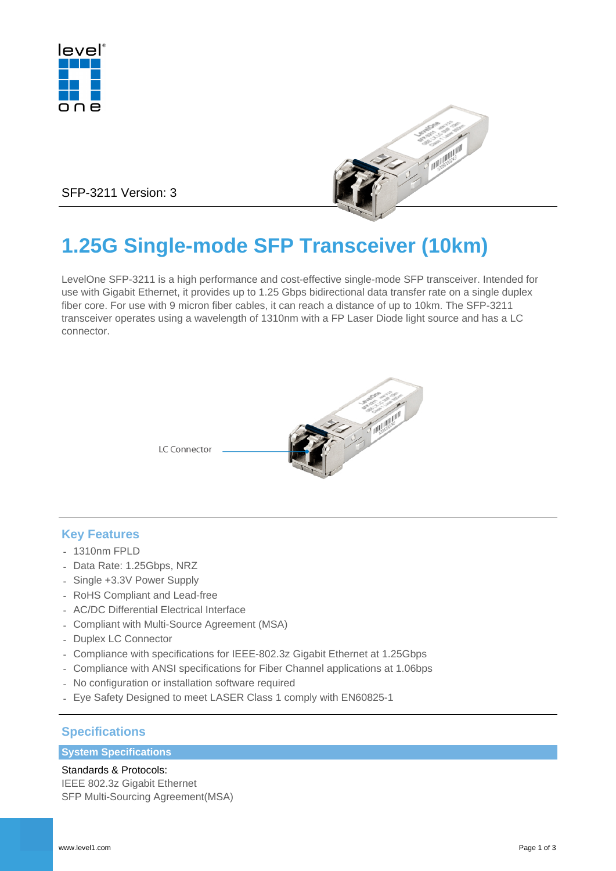



SFP-3211 Version: 3

# **1.25G Single-mode SFP Transceiver (10km)**

LevelOne SFP-3211 is a high performance and cost-effective single-mode SFP transceiver. Intended for use with Gigabit Ethernet, it provides up to 1.25 Gbps bidirectional data transfer rate on a single duplex fiber core. For use with 9 micron fiber cables, it can reach a distance of up to 10km. The SFP-3211 transceiver operates using a wavelength of 1310nm with a FP Laser Diode light source and has a LC connector.



# **Key Features**

- 1310nm FPLD
- Data Rate: 1.25Gbps, NRZ
- Single +3.3V Power Supply
- RoHS Compliant and Lead-free
- AC/DC Differential Electrical Interface
- Compliant with Multi-Source Agreement (MSA)
- Duplex LC Connector
- Compliance with specifications for IEEE-802.3z Gigabit Ethernet at 1.25Gbps
- Compliance with ANSI specifications for Fiber Channel applications at 1.06bps
- No configuration or installation software required
- Eye Safety Designed to meet LASER Class 1 comply with EN60825-1

# **Specifications**

### **System Specifications**

Standards & Protocols: IEEE 802.3z Gigabit Ethernet SFP Multi-Sourcing Agreement(MSA)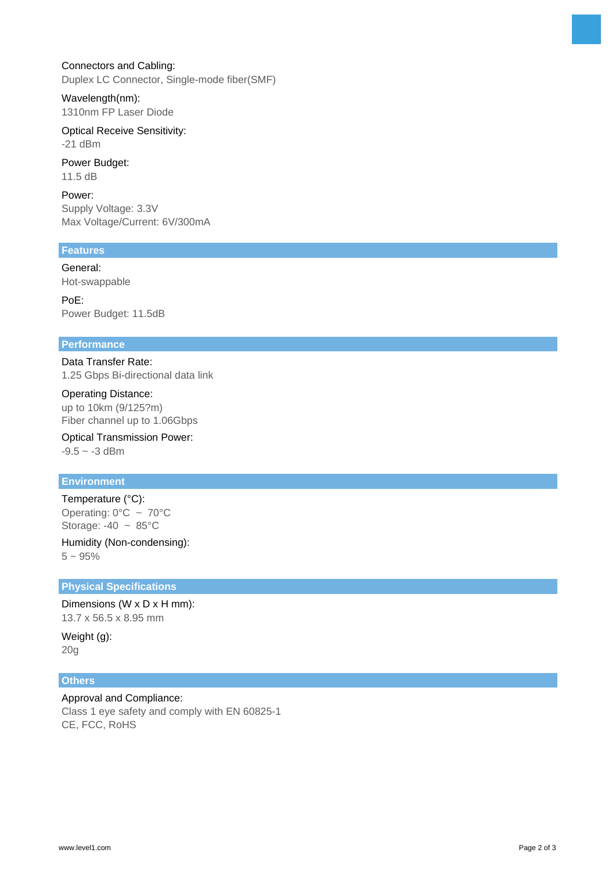#### Connectors and Cabling:

Duplex LC Connector, Single-mode fiber(SMF)

Wavelength(nm): 1310nm FP Laser Diode

Optical Receive Sensitivity: -21 dBm

Power Budget: 11.5 dB

Power: Supply Voltage: 3.3V Max Voltage/Current: 6V/300mA

### **Features**

General: Hot-swappable

PoE: Power Budget: 11.5dB

#### **Performance**

Data Transfer Rate: 1.25 Gbps Bi-directional data link

Operating Distance: up to 10km (9/125?m) Fiber channel up to 1.06Gbps

Optical Transmission Power:  $-9.5 \sim -3$  dBm

# **Environment**

Temperature (°C): Operating:  $0^{\circ}$ C ~ 70 $^{\circ}$ C Storage:  $-40 \sim 85^{\circ}$ C

Humidity (Non-condensing):  $5 - 95%$ 

#### **Physical Specifications**

Dimensions (W x D x H mm): 13.7 x 56.5 x 8.95 mm

Weight (g): 20g

#### **Others**

Approval and Compliance: Class 1 eye safety and comply with EN 60825-1 CE, FCC, RoHS